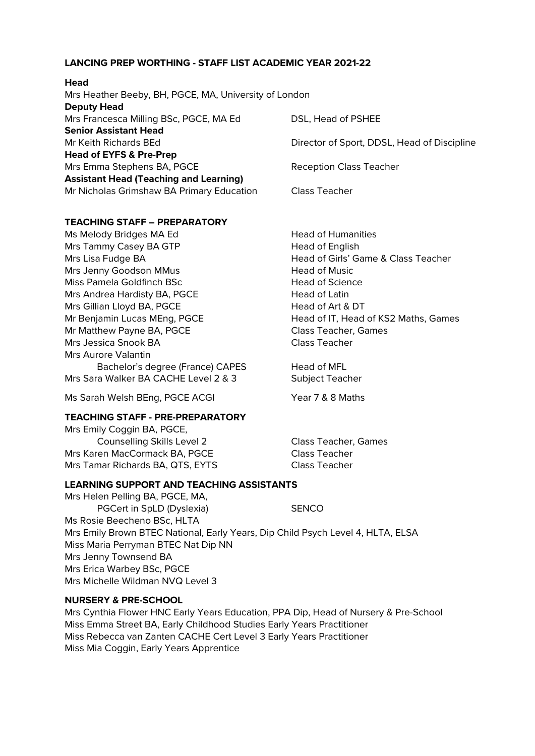### **LANCING PREP WORTHING - STAFF LIST ACADEMIC YEAR 2021-22**

| neau                                                  |                                             |
|-------------------------------------------------------|---------------------------------------------|
| Mrs Heather Beeby, BH, PGCE, MA, University of London |                                             |
| <b>Deputy Head</b>                                    |                                             |
| Mrs Francesca Milling BSc, PGCE, MA Ed                | DSL, Head of PSHEE                          |
| <b>Senior Assistant Head</b>                          |                                             |
| Mr Keith Richards BEd                                 | Director of Sport, DDSL, Head of Discipline |
| <b>Head of EYFS &amp; Pre-Prep</b>                    |                                             |
| Mrs Emma Stephens BA, PGCE                            | <b>Reception Class Teacher</b>              |
| <b>Assistant Head (Teaching and Learning)</b>         |                                             |
| Mr Nicholas Grimshaw BA Primary Education             | Class Teacher                               |
|                                                       |                                             |

### **TEACHING STAFF – PREPARATORY**

**Head**

Ms Melody Bridges MA Ed Head of Humanities Mrs Tammy Casey BA GTP Head of English Mrs Lisa Fudge BA **Head of Girls' Game & Class Teacher** Head of Girls' Game & Class Teacher Mrs Jenny Goodson MMus **Head of Music** Miss Pamela Goldfinch BSc **Head of Science** Mrs Andrea Hardisty BA, PGCE Head of Latin Mrs Gillian Lloyd BA, PGCE Head of Art & DT Mr Benjamin Lucas MEng, PGCE Head of IT, Head of KS2 Maths, Games Mr Matthew Payne BA, PGCE Class Teacher, Games Mrs Jessica Snook BA Class Teacher Mrs Aurore Valantin Bachelor's degree (France) CAPES Head of MFL Mrs Sara Walker BA CACHE Level 2 & 3 Subject Teacher

Ms Sarah Welsh BEng, PGCE ACGI Year 7 & 8 Maths

### **TEACHING STAFF - PRE-PREPARATORY**

Mrs Emily Coggin BA, PGCE, Counselling Skills Level 2 Class Teacher, Games Mrs Karen MacCormack BA, PGCE Class Teacher Mrs Tamar Richards BA, QTS, EYTS Class Teacher

#### **LEARNING SUPPORT AND TEACHING ASSISTANTS**

Mrs Helen Pelling BA, PGCE, MA, PGCert in SpLD (Dyslexia) SENCO Ms Rosie Beecheno BSc, HLTA Mrs Emily Brown BTEC National, Early Years, Dip Child Psych Level 4, HLTA, ELSA Miss Maria Perryman BTEC Nat Dip NN Mrs Jenny Townsend BA Mrs Erica Warbey BSc, PGCE Mrs Michelle Wildman NVQ Level 3

### **NURSERY & PRE-SCHOOL**

Mrs Cynthia Flower HNC Early Years Education, PPA Dip, Head of Nursery & Pre-School Miss Emma Street BA, Early Childhood Studies Early Years Practitioner Miss Rebecca van Zanten CACHE Cert Level 3 Early Years Practitioner Miss Mia Coggin, Early Years Apprentice